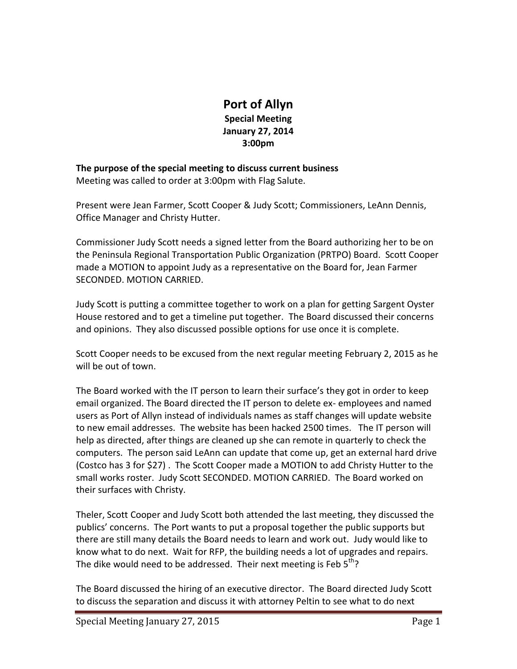## **Port of Allyn Special Meeting January 27, 2014 3:00pm**

**The purpose of the special meeting to discuss current business**  Meeting was called to order at 3:00pm with Flag Salute.

Present were Jean Farmer, Scott Cooper & Judy Scott; Commissioners, LeAnn Dennis, Office Manager and Christy Hutter.

Commissioner Judy Scott needs a signed letter from the Board authorizing her to be on the Peninsula Regional Transportation Public Organization (PRTPO) Board. Scott Cooper made a MOTION to appoint Judy as a representative on the Board for, Jean Farmer SECONDED. MOTION CARRIED.

Judy Scott is putting a committee together to work on a plan for getting Sargent Oyster House restored and to get a timeline put together. The Board discussed their concerns and opinions. They also discussed possible options for use once it is complete.

Scott Cooper needs to be excused from the next regular meeting February 2, 2015 as he will be out of town.

The Board worked with the IT person to learn their surface's they got in order to keep email organized. The Board directed the IT person to delete ex- employees and named users as Port of Allyn instead of individuals names as staff changes will update website to new email addresses. The website has been hacked 2500 times. The IT person will help as directed, after things are cleaned up she can remote in quarterly to check the computers. The person said LeAnn can update that come up, get an external hard drive (Costco has 3 for \$27) . The Scott Cooper made a MOTION to add Christy Hutter to the small works roster. Judy Scott SECONDED. MOTION CARRIED. The Board worked on their surfaces with Christy.

Theler, Scott Cooper and Judy Scott both attended the last meeting, they discussed the publics' concerns. The Port wants to put a proposal together the public supports but there are still many details the Board needs to learn and work out. Judy would like to know what to do next. Wait for RFP, the building needs a lot of upgrades and repairs. The dike would need to be addressed. Their next meeting is Feb  $5<sup>th</sup>$ ?

The Board discussed the hiring of an executive director. The Board directed Judy Scott to discuss the separation and discuss it with attorney Peltin to see what to do next